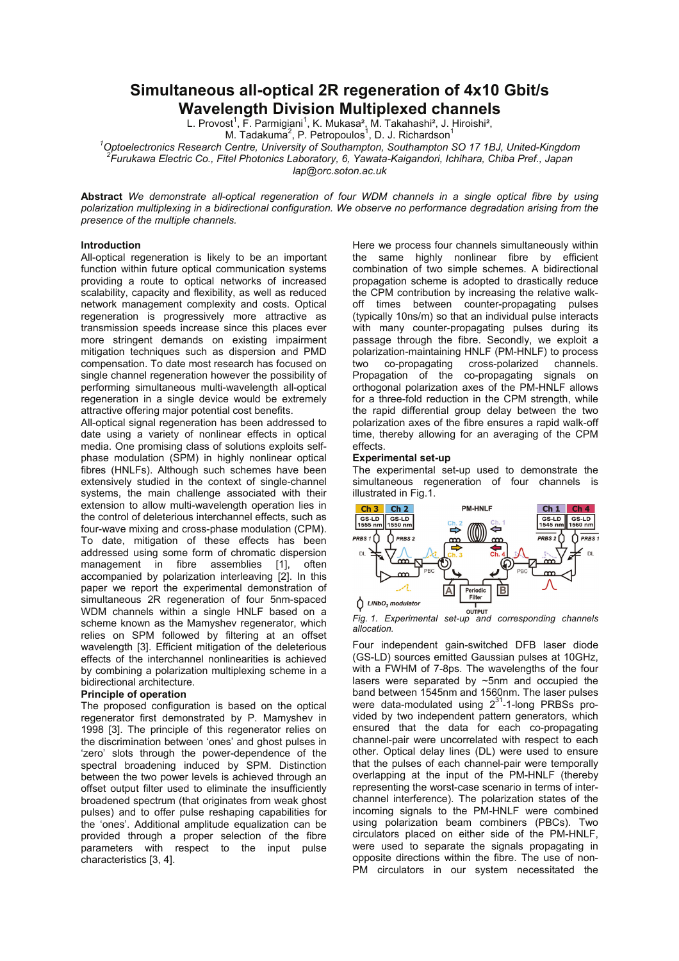# **Simultaneous all-optical 2R regeneration of 4x10 Gbit/s Wavelength Division Multiplexed channels**

L. Provost<sup>1</sup>, F. Parmigiani<sup>1</sup>, K. Mukasa<sup>2</sup>, M. Takahashi<sup>2</sup>, J. Hiroishi<sup>2</sup>, M. Tadakuma<sup>2</sup>, P. Petropoulos<sup>1</sup>, D. J. Richardson<sup>1</sup>

<sup>1</sup>Optoelectronics Research Centre, University of Southampton, Southampton SO 17 1BJ, United-Kingdom <sup>2</sup><br><sup>2</sup> Eurukawa Electric Co., Fital Photopics Laberston, 6, Yoursta Kaisanderi, Johibara, Chiba Prof., Japan *Furukawa Electric Co., Fitel Photonics Laboratory, 6, Yawata-Kaigandori, Ichihara, Chiba Pref., Japan*

*lap@orc.soton.ac.uk* 

**Abstract** *We demonstrate all-optical regeneration of four WDM channels in a single optical fibre by using polarization multiplexing in a bidirectional configuration. We observe no performance degradation arising from the presence of the multiple channels.* 

## **Introduction**

All-optical regeneration is likely to be an important function within future optical communication systems providing a route to optical networks of increased scalability, capacity and flexibility, as well as reduced network management complexity and costs. Optical regeneration is progressively more attractive as transmission speeds increase since this places ever more stringent demands on existing impairment mitigation techniques such as dispersion and PMD compensation. To date most research has focused on single channel regeneration however the possibility of performing simultaneous multi-wavelength all-optical regeneration in a single device would be extremely attractive offering major potential cost benefits.

All-optical signal regeneration has been addressed to date using a variety of nonlinear effects in optical media. One promising class of solutions exploits selfphase modulation (SPM) in highly nonlinear optical fibres (HNLFs). Although such schemes have been extensively studied in the context of single-channel systems, the main challenge associated with their extension to allow multi-wavelength operation lies in the control of deleterious interchannel effects, such as four-wave mixing and cross-phase modulation (CPM). To date, mitigation of these effects has been addressed using some form of chromatic dispersion management in fibre assemblies [1], often accompanied by polarization interleaving [2]. In this paper we report the experimental demonstration of simultaneous 2R regeneration of four 5nm-spaced WDM channels within a single HNLF based on a scheme known as the Mamyshev regenerator, which relies on SPM followed by filtering at an offset wavelength [3]. Efficient mitigation of the deleterious effects of the interchannel nonlinearities is achieved by combining a polarization multiplexing scheme in a bidirectional architecture.

## **Principle of operation**

The proposed configuration is based on the optical regenerator first demonstrated by P. Mamyshev in 1998 [3]. The principle of this regenerator relies on the discrimination between 'ones' and ghost pulses in 'zero' slots through the power-dependence of the spectral broadening induced by SPM. Distinction between the two power levels is achieved through an offset output filter used to eliminate the insufficiently broadened spectrum (that originates from weak ghost pulses) and to offer pulse reshaping capabilities for the 'ones'. Additional amplitude equalization can be provided through a proper selection of the fibre parameters with respect to the input pulse characteristics [3, 4].

Here we process four channels simultaneously within the same highly nonlinear fibre by efficient combination of two simple schemes. A bidirectional propagation scheme is adopted to drastically reduce the CPM contribution by increasing the relative walkoff times between counter-propagating pulses (typically 10ns/m) so that an individual pulse interacts with many counter-propagating pulses during its passage through the fibre. Secondly, we exploit a polarization-maintaining HNLF (PM-HNLF) to process two co-propagating cross-polarized channels. Propagation of the co-propagating signals on orthogonal polarization axes of the PM-HNLF allows for a three-fold reduction in the CPM strength, while the rapid differential group delay between the two polarization axes of the fibre ensures a rapid walk-off time, thereby allowing for an averaging of the CPM effects.

## **Experimental set-up**

The experimental set-up used to demonstrate the simultaneous regeneration of four channels is illustrated in Fig.1.



*Fig. 1. Experimental set-up and corresponding channels allocation.* 

Four independent gain-switched DFB laser diode (GS-LD) sources emitted Gaussian pulses at 10GHz, with a FWHM of 7-8ps. The wavelengths of the four lasers were separated by ~5nm and occupied the band between 1545nm and 1560nm. The laser pulses were data-modulated using 2<sup>31</sup>-1-long PRBSs provided by two independent pattern generators, which ensured that the data for each co-propagating channel-pair were uncorrelated with respect to each other. Optical delay lines (DL) were used to ensure that the pulses of each channel-pair were temporally overlapping at the input of the PM-HNLF (thereby representing the worst-case scenario in terms of interchannel interference). The polarization states of the incoming signals to the PM-HNLF were combined using polarization beam combiners (PBCs). Two circulators placed on either side of the PM-HNLF, were used to separate the signals propagating in opposite directions within the fibre. The use of non-PM circulators in our system necessitated the